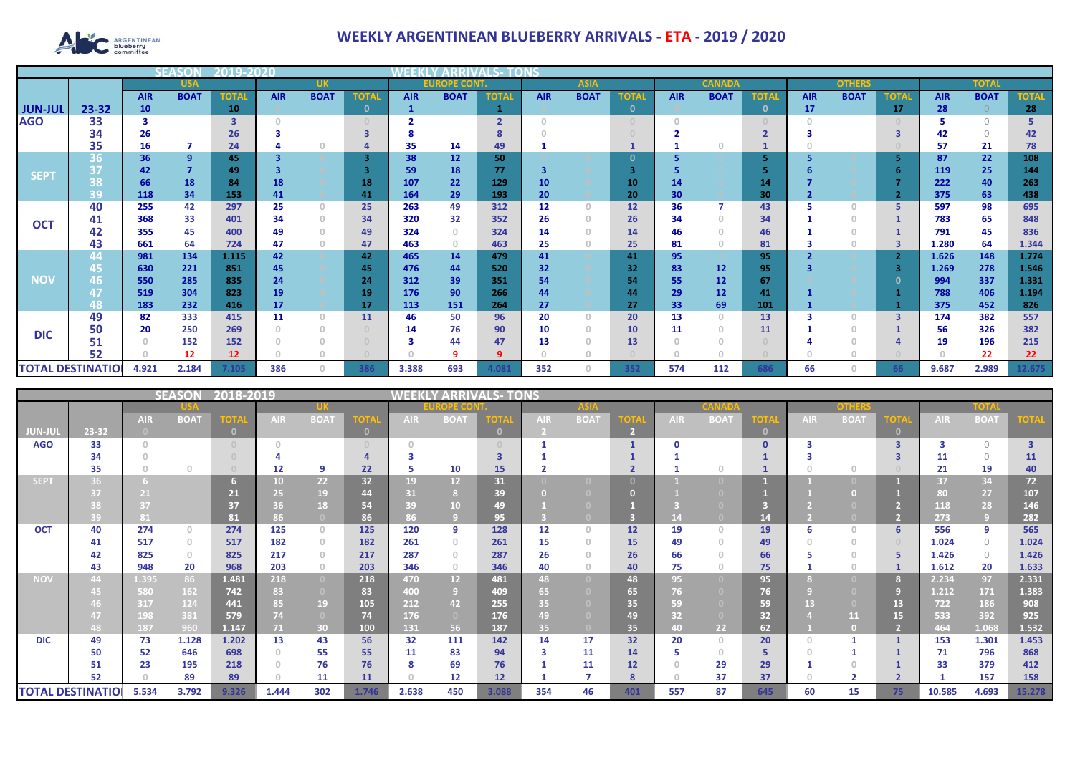

## **WEEKLY ARGENTINEAN BLUEBERRY ARRIVALS - ETA - 2019 / 2020**

|                          |                    |            |                | 2019-20         |            |              |              |            |                    |              |                 |             |              |            |               |              |            |               |              |            |              |              |
|--------------------------|--------------------|------------|----------------|-----------------|------------|--------------|--------------|------------|--------------------|--------------|-----------------|-------------|--------------|------------|---------------|--------------|------------|---------------|--------------|------------|--------------|--------------|
|                          |                    |            | <b>USA</b>     |                 |            | <b>UK</b>    |              |            | <b>EUROPE CONT</b> |              |                 | <b>ASIA</b> |              |            | <b>CANADA</b> |              |            | <b>OTHERS</b> |              |            | <b>TOTAI</b> |              |
|                          |                    | <b>AIR</b> | <b>BOAT</b>    | <b>TOTAL</b>    | <b>AIR</b> | <b>BOAT</b>  | <b>TOTA</b>  | <b>AIR</b> | <b>BOAT</b>        | <b>TOTAL</b> | <b>AIR</b>      | <b>BOAT</b> | <b>TOTAL</b> | <b>AIR</b> | <b>BOAT</b>   | <b>TOTAI</b> | <b>AIR</b> | <b>BOAT</b>   | <b>TOTAL</b> | <b>AIR</b> | <b>BOAT</b>  | <b>TOTAL</b> |
| <b>JUN-JUL</b>           | 23-32              | 10         |                | 10 <sub>1</sub> |            |              | $\mathbf{0}$ |            |                    |              |                 |             | $\Omega$     |            |               | $\mathbf{0}$ | 17         |               | 17           | 28         | $\Omega$     | 28           |
| <b>AGO</b>               | 33                 | 3          |                | 3               |            |              |              |            |                    | $\mathbf{r}$ | $\cap$          |             |              |            |               |              |            |               |              |            | $\cap$       |              |
|                          | 34                 | 26         |                | 26              |            |              |              |            |                    |              |                 |             |              |            |               |              |            |               | 3            | 42         | $\Omega$     | 42           |
|                          | 35                 | 16         |                | 24              |            |              |              | 35         | 14                 | 49           |                 |             |              |            |               |              |            |               |              | 57         | 21           | 78           |
|                          | 36                 | 36         | $\overline{9}$ | 45              |            |              |              | 38         | 12                 | 50           |                 |             | $\Omega$     |            |               |              |            |               |              | 87         | 22           | 108          |
| <b>SEPT</b>              | 37                 | 42         | $\overline{7}$ | 49              |            |              |              | 59         | 18                 | 77           | 3               |             | 3            |            |               |              |            |               |              | 119        | 25           | 144          |
|                          | $\mathbf{O}$<br>50 | 66         | 18             | 84              | 18         |              | 18           | 107        | 22                 | 129          | 10              |             | 10           | 14         |               | 14           |            |               |              | 222        | 40           | 263          |
|                          | 39                 | 118        | 34             | 153             | 41         |              | 41           | 164        | 29                 | 193          | 20              |             | 20           | 30         |               | 30           |            |               |              | 375        | 63           | 438          |
| <b>OCT</b>               | 40                 | 255        | 42             | 297             | 25         | $\Omega$     | 25           | 263        | 49                 | 312          | 12              | $\Omega$    | 12           | 36         |               | 43           |            | $\Omega$      |              | 597        | 98           | 695          |
|                          | 41                 | 368        | 33             | 401             | 34         | $\Omega$     | 34           | 320        | 32                 | 352          | 26              | $\Omega$    | 26           | 34         |               | 34           |            |               |              | 783        | 65           | 848          |
|                          | 42                 | 355        | 45             | 400             | 49         | $\Omega$     | 49           | 324        | $\Omega$           | 324          | 14              |             | 14           | 46         |               | 46           |            |               |              | 791        | 45           | 836          |
|                          | 43                 | 661        | 64             | 724             | 47         | $\Omega$     | 47           | 463        | $\circ$            | 463          | 25              | $\Omega$    | 25           | 81         |               | 81           |            | $\mathbf{0}$  |              | 1.280      | 64           | 1.344        |
|                          | 44                 | 981        | 134            | 1.115           | 42         |              | 42           | 465        | 14                 | 479          | 41              |             | 41           | 95         |               | 95           |            |               |              | 1.626      | 148          | 1.774        |
|                          | 45                 | 630        | 221            | 851             | 45         |              | 45           | 476        | 44                 | 520          | 32 <sub>2</sub> |             | 32           | 83         | 12            | 95           |            |               | 3            | 1.269      | 278          | 1.546        |
| <b>NOV</b>               | 46                 | 550        | 285            | 835             | 24         |              | 24           | 312        | 39                 | 351          | 54              |             | 54           | 55         | 12            | 67           |            |               |              | 994        | 337          | 1.331        |
|                          |                    | 519        | 304            | 823             | 19         |              | 19           | 176        | 90                 | 266          | 44              |             | 44           | 29         | 12            | 41           |            |               |              | 788        | 406          | 1.194        |
|                          | 48                 | 183        | 232            | 416             | 17         |              | 17           | 113        | 151                | 264          | 27              |             | 27           | 33         | 69            | 101          |            |               |              | 375        | 452          | 826          |
|                          | 49                 | 82         | 333            | 415             | 11         | $\mathbf{0}$ | 11           | 46         | 50                 | 96           | 20              | $\Omega$    | 20           | 13         |               | 13           |            | $\Omega$      | 3            | 174        | 382          | 557          |
| <b>DIC</b>               | 50                 | 20         | 250            | 269             |            | $\Omega$     |              | 14         | 76                 | 90           | 10              |             | <b>10</b>    | 11         |               | 11           |            |               |              | 56         | 326          | 382          |
|                          | 51                 |            | 152            | 152             |            |              |              |            | 44                 | 47           | 13              |             | 13           |            |               |              |            |               |              | 19         | 196          | 215          |
|                          | 52                 |            | 12             | 12              |            |              |              |            |                    |              |                 |             |              |            |               |              |            |               |              |            | 22           | 22           |
| <b>TOTAL DESTINATIOL</b> |                    | 4.921      | 2.184          | 7.105           | 386        | Ω            | 386          | 3.388      | 693                | 1.081        | 352             |             | 352          | 574        | 112           | 686          | 66         | O             |              | 9.687      | 2.989        | 12.675       |

|                          |          | WEEKI<br>' ARRIVAI<br>LS- TONS |              |             |            |                |                                  |             |                 |          |            |                                  |         |            |             |              |            |             |                         |            |             |                         |
|--------------------------|----------|--------------------------------|--------------|-------------|------------|----------------|----------------------------------|-------------|-----------------|----------|------------|----------------------------------|---------|------------|-------------|--------------|------------|-------------|-------------------------|------------|-------------|-------------------------|
|                          |          |                                |              |             |            |                | <b>OPE CO</b>                    |             |                 |          |            |                                  |         |            | onhar       |              |            | TOIF        |                         |            |             |                         |
|                          |          | <b>AIR</b>                     | <b>BOAT</b>  | <b>TOTA</b> | <b>AIR</b> | <b>BOAT</b>    | OT.                              | <b>AIR</b>  | <b>BOAT</b>     |          | <b>AIR</b> | <b>BOA1</b>                      |         | <b>AIR</b> | <b>BOAT</b> | <b>TOTA</b>  | <b>AIR</b> | <b>BOAT</b> | <b>OTA</b>              | <b>AIR</b> | <b>BOAT</b> | <b>OTA</b>              |
| <b>JUN-JUL</b>           | 23-32    | $\Box$                         |              |             |            |                | $\mathbf{0}$                     |             |                 | $\Omega$ |            |                                  |         |            |             | $\mathbf{0}$ |            |             |                         |            |             |                         |
| <b>AGO</b>               | 33       | $\cap$                         |              |             |            |                | $\begin{array}{c} \n\end{array}$ |             |                 |          |            |                                  |         |            |             | $\Omega$     |            |             | $\overline{\mathbf{3}}$ |            | $\bigcirc$  | $\overline{\mathbf{3}}$ |
|                          | 34       |                                |              |             |            |                |                                  |             |                 |          |            |                                  |         |            |             |              |            |             |                         | 11         | $\Omega$    | <b>11</b>               |
|                          | 35       |                                | $\cap$       |             | 12         | -9             | 22                               | 5           | 10              | 15       |            |                                  |         |            |             |              |            | $\Omega$    |                         | 21         | 19          | 40                      |
| <b>SEPT</b>              | 36       |                                |              |             | 10         | 22             | 32                               | 19          | 12              | 31       |            |                                  |         |            |             |              |            |             |                         | 37         | 34          | 72                      |
|                          |          | 21                             |              | 21          | 25         | 19             | 44                               | 31          |                 | 39       |            |                                  |         |            |             |              |            |             |                         | 80         | 27          | 107                     |
|                          |          | 37                             |              | 37          | 36         | 18             | 54                               | 39          | 10 <sup>°</sup> | 49       |            |                                  |         |            |             |              |            |             |                         | 118        | 28          | 146                     |
|                          | 39       | 81                             |              | 81          | 86         |                | 86                               | 86          |                 | 95       |            |                                  |         |            |             | 14           |            |             |                         | 273        | 9           | 282                     |
| <b>OCT</b>               | 40       | 274                            | $\Omega$     | 274         | 125        | $\circ$        | 125                              | 120         | 9               | 128      | 12         | $\begin{array}{c} \n\end{array}$ | 12      | 19         | $\bigcap$   | 19           | ь          | $\Omega$    | 6                       | 556        | 9           | 565                     |
|                          | 41       | 517                            | $\mathbf{0}$ | 517         | 182        | $\circ$        | 182                              | 261         | $\Omega$        | 261      | 15         | $\Omega$                         | 15      | 49         | $\Omega$    | 49           |            | $\Omega$    | $\Box$                  | 1.024      | $\Omega$    | 1.024                   |
|                          | 42       | 825                            | $\Omega$     | 825         | 217        | $\circ$        | 217                              | 287         |                 | 287      | 26         |                                  | 26      | 66         |             | 66           |            |             |                         | 1.426      | $\circ$     | 1.426                   |
|                          | 43       | 948                            | 20           | 968         | 203        | $\circ$        | 203                              | 346         | $\circ$         | 346      | 40         | $\Omega$                         | 40      | 75         |             | 75           |            | $\Omega$    |                         | 1.612      | 20          | 1.633                   |
| <b>NOV</b>               | 44       | 1.395                          | 86           | 1.481       | 218        | $\overline{0}$ | 218                              | 470         | 12 <sup>2</sup> | 481      | 48         | n                                | 48      | 95         |             | 95           |            |             | 8                       | 2.234      | 97          | 2.331                   |
|                          |          | 580                            | 162          | 742         | 83         | $\overline{0}$ | 83                               | 400         | 9 <sup>1</sup>  | 409      | 65         |                                  | 65      | 76         |             | 76           |            |             |                         | 1.212      | 171         | 1.383                   |
|                          |          | 317                            | 124          | 441         | 85         | 19             | 105                              | 212         | 42              | 255      | 35         |                                  | 35      | 59         |             | 59           | 13         |             | 13                      | 722        | 186         | 908                     |
|                          |          | 198                            | 381          | 579         | 74         | $\overline{0}$ | 74                               | 176         | $\overline{0}$  | 176      | 49         |                                  | 49      | 32         |             | 32           |            | 11          | 15                      | 533        | 392         | 925                     |
|                          | 48       | 187                            | 960          | 1.147       | 71         | 30             | 100                              | 131         | 56              | 187      | 35         |                                  | 35      | 40.        | 22          | 62           |            | $\Box$      |                         | 464        | 1.068       | 1.532                   |
| <b>DIC</b>               | 49       | 73                             | 1.128        | 1.202       | 13         | 43             | 56                               | 32          | 111             | 142      | 14         | 17                               | 32      | 20         | $\Omega$    | 20           |            |             |                         | 153        | 1.301       | 1.453                   |
|                          | 50       | 52                             | 646          | 698         |            | 55             | 55                               | 11          | 83              | 94       | 3          | 11                               | 14      |            | $\Omega$    | 5            |            |             |                         | 71         | 796         | 868                     |
|                          | 51<br>52 | 23                             | 195          | 218<br>89   |            | 76             | 76<br>11                         | 8<br>$\cap$ | 69<br>12        | 76       |            | 11                               | 12<br>8 |            | 29<br>37    | 29<br>37     |            |             |                         | 33         | 379<br>157  | 412                     |
|                          |          |                                | 89           |             |            | 11             |                                  |             |                 | 12       |            |                                  |         |            |             |              |            |             |                         |            |             | 158                     |
| <b>TOTAL DESTINATIOI</b> |          | 5.534                          | 3.792        | 9.326       | 1.444      | 302            | 1.746                            | 2.638       | 450             | 3.088    | 354        | 46                               | 401     | 557        | 87          | 645          | 60         | 15          | 75                      | 10.585     | 4.693       | 15.278                  |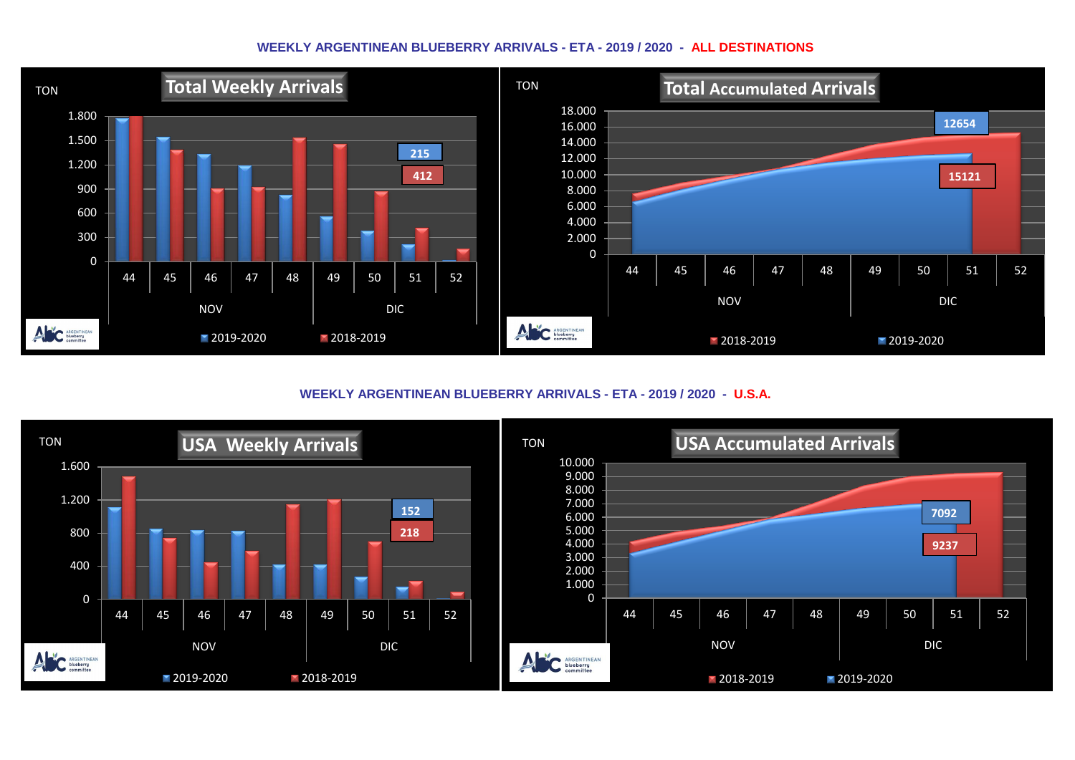## **WEEKLY ARGENTINEAN BLUEBERRY ARRIVALS - ETA - 2019 / 2020 - ALL DESTINATIONS**



**WEEKLY ARGENTINEAN BLUEBERRY ARRIVALS - ETA - 2019 / 2020 - U.S.A.**

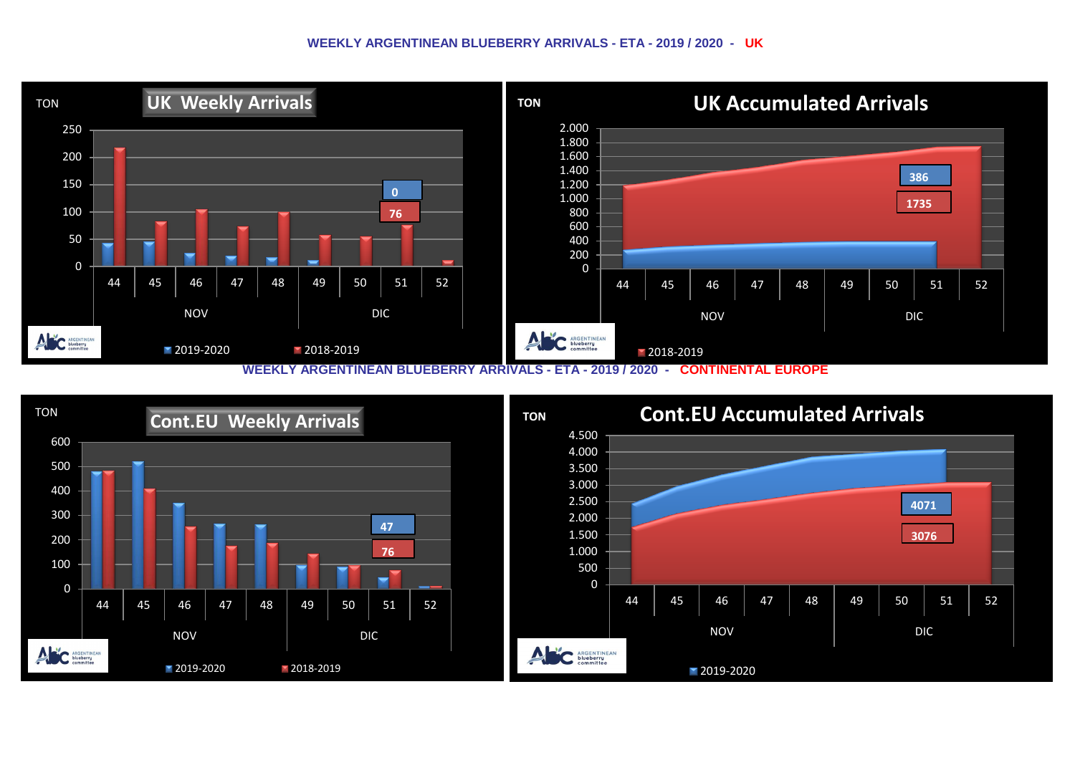## **WEEKLY ARGENTINEAN BLUEBERRY ARRIVALS - ETA - 2019 / 2020 - UK**